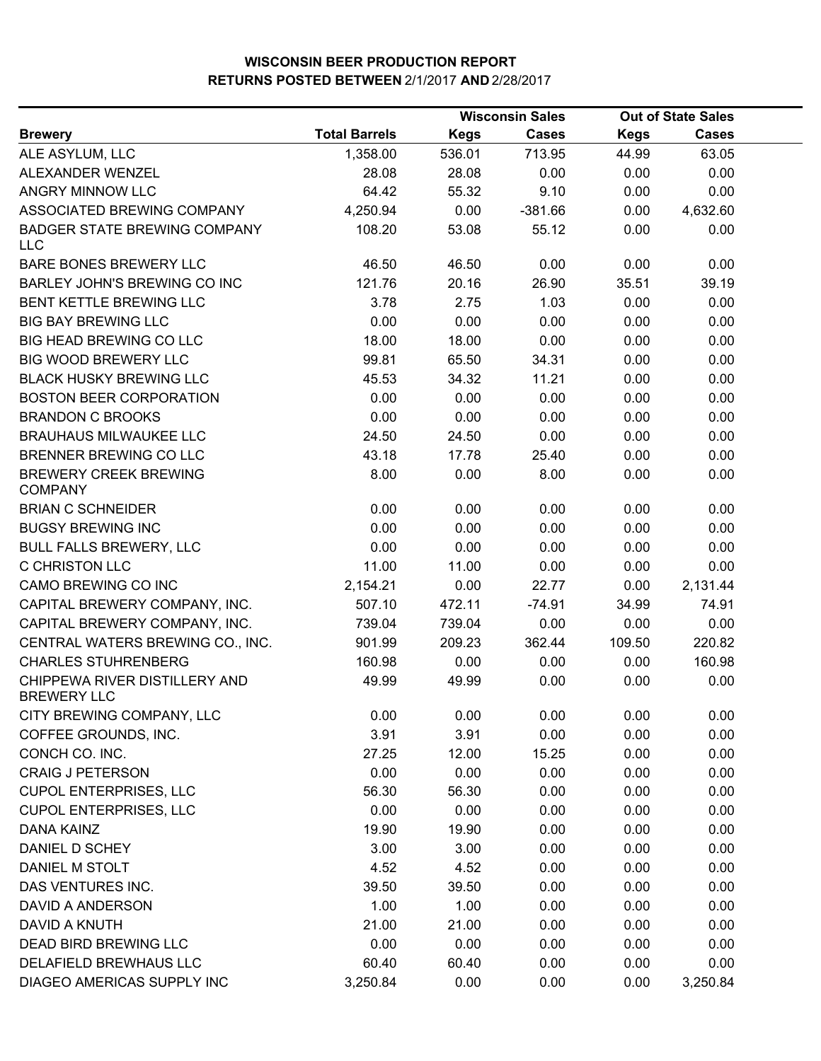|                                                     |                      |             | <b>Wisconsin Sales</b> | <b>Out of State Sales</b> |              |  |
|-----------------------------------------------------|----------------------|-------------|------------------------|---------------------------|--------------|--|
| <b>Brewery</b>                                      | <b>Total Barrels</b> | <b>Kegs</b> | <b>Cases</b>           | <b>Kegs</b>               | <b>Cases</b> |  |
| ALE ASYLUM, LLC                                     | 1,358.00             | 536.01      | 713.95                 | 44.99                     | 63.05        |  |
| ALEXANDER WENZEL                                    | 28.08                | 28.08       | 0.00                   | 0.00                      | 0.00         |  |
| ANGRY MINNOW LLC                                    | 64.42                | 55.32       | 9.10                   | 0.00                      | 0.00         |  |
| ASSOCIATED BREWING COMPANY                          | 4,250.94             | 0.00        | $-381.66$              | 0.00                      | 4,632.60     |  |
| <b>BADGER STATE BREWING COMPANY</b><br><b>LLC</b>   | 108.20               | 53.08       | 55.12                  | 0.00                      | 0.00         |  |
| <b>BARE BONES BREWERY LLC</b>                       | 46.50                | 46.50       | 0.00                   | 0.00                      | 0.00         |  |
| BARLEY JOHN'S BREWING CO INC                        | 121.76               | 20.16       | 26.90                  | 35.51                     | 39.19        |  |
| BENT KETTLE BREWING LLC                             | 3.78                 | 2.75        | 1.03                   | 0.00                      | 0.00         |  |
| <b>BIG BAY BREWING LLC</b>                          | 0.00                 | 0.00        | 0.00                   | 0.00                      | 0.00         |  |
| <b>BIG HEAD BREWING CO LLC</b>                      | 18.00                | 18.00       | 0.00                   | 0.00                      | 0.00         |  |
| <b>BIG WOOD BREWERY LLC</b>                         | 99.81                | 65.50       | 34.31                  | 0.00                      | 0.00         |  |
| <b>BLACK HUSKY BREWING LLC</b>                      | 45.53                | 34.32       | 11.21                  | 0.00                      | 0.00         |  |
| <b>BOSTON BEER CORPORATION</b>                      | 0.00                 | 0.00        | 0.00                   | 0.00                      | 0.00         |  |
| <b>BRANDON C BROOKS</b>                             | 0.00                 | 0.00        | 0.00                   | 0.00                      | 0.00         |  |
| <b>BRAUHAUS MILWAUKEE LLC</b>                       | 24.50                | 24.50       | 0.00                   | 0.00                      | 0.00         |  |
| BRENNER BREWING CO LLC                              | 43.18                | 17.78       | 25.40                  | 0.00                      | 0.00         |  |
| <b>BREWERY CREEK BREWING</b><br><b>COMPANY</b>      | 8.00                 | 0.00        | 8.00                   | 0.00                      | 0.00         |  |
| <b>BRIAN C SCHNEIDER</b>                            | 0.00                 | 0.00        | 0.00                   | 0.00                      | 0.00         |  |
| <b>BUGSY BREWING INC</b>                            | 0.00                 | 0.00        | 0.00                   | 0.00                      | 0.00         |  |
| <b>BULL FALLS BREWERY, LLC</b>                      | 0.00                 | 0.00        | 0.00                   | 0.00                      | 0.00         |  |
| C CHRISTON LLC                                      | 11.00                | 11.00       | 0.00                   | 0.00                      | 0.00         |  |
| CAMO BREWING CO INC                                 | 2,154.21             | 0.00        | 22.77                  | 0.00                      | 2,131.44     |  |
| CAPITAL BREWERY COMPANY, INC.                       | 507.10               | 472.11      | $-74.91$               | 34.99                     | 74.91        |  |
| CAPITAL BREWERY COMPANY, INC.                       | 739.04               | 739.04      | 0.00                   | 0.00                      | 0.00         |  |
| CENTRAL WATERS BREWING CO., INC.                    | 901.99               | 209.23      | 362.44                 | 109.50                    | 220.82       |  |
| <b>CHARLES STUHRENBERG</b>                          | 160.98               | 0.00        | 0.00                   | 0.00                      | 160.98       |  |
| CHIPPEWA RIVER DISTILLERY AND<br><b>BREWERY LLC</b> | 49.99                | 49.99       | 0.00                   | 0.00                      | 0.00         |  |
| CITY BREWING COMPANY, LLC                           | 0.00                 | 0.00        | 0.00                   | 0.00                      | 0.00         |  |
| COFFEE GROUNDS, INC.                                | 3.91                 | 3.91        | 0.00                   | 0.00                      | 0.00         |  |
| CONCH CO. INC.                                      | 27.25                | 12.00       | 15.25                  | 0.00                      | 0.00         |  |
| <b>CRAIG J PETERSON</b>                             | 0.00                 | 0.00        | 0.00                   | 0.00                      | 0.00         |  |
| <b>CUPOL ENTERPRISES, LLC</b>                       | 56.30                | 56.30       | 0.00                   | 0.00                      | 0.00         |  |
| <b>CUPOL ENTERPRISES, LLC</b>                       | 0.00                 | 0.00        | 0.00                   | 0.00                      | 0.00         |  |
| <b>DANA KAINZ</b>                                   | 19.90                | 19.90       | 0.00                   | 0.00                      | 0.00         |  |
| DANIEL D SCHEY                                      | 3.00                 | 3.00        | 0.00                   | 0.00                      | 0.00         |  |
| DANIEL M STOLT                                      | 4.52                 | 4.52        | 0.00                   | 0.00                      | 0.00         |  |
| DAS VENTURES INC.                                   | 39.50                | 39.50       | 0.00                   | 0.00                      | 0.00         |  |
| DAVID A ANDERSON                                    | 1.00                 | 1.00        | 0.00                   | 0.00                      | 0.00         |  |
| DAVID A KNUTH                                       | 21.00                | 21.00       | 0.00                   | 0.00                      | 0.00         |  |
| DEAD BIRD BREWING LLC                               | 0.00                 | 0.00        | 0.00                   | 0.00                      | 0.00         |  |
| DELAFIELD BREWHAUS LLC                              | 60.40                | 60.40       | 0.00                   | 0.00                      | 0.00         |  |
| DIAGEO AMERICAS SUPPLY INC                          | 3,250.84             | 0.00        | 0.00                   | 0.00                      | 3,250.84     |  |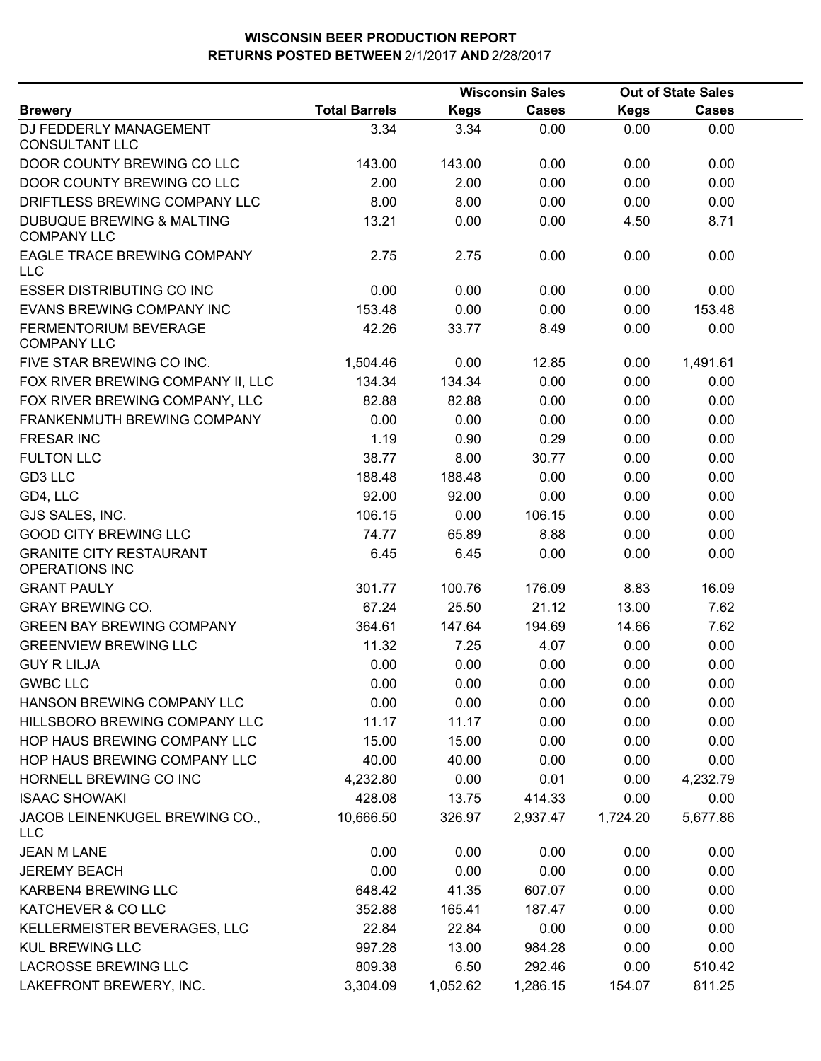|                                                            |                      |             | <b>Wisconsin Sales</b> |             | <b>Out of State Sales</b> |  |
|------------------------------------------------------------|----------------------|-------------|------------------------|-------------|---------------------------|--|
| <b>Brewery</b>                                             | <b>Total Barrels</b> | <b>Kegs</b> | <b>Cases</b>           | <b>Kegs</b> | Cases                     |  |
| DJ FEDDERLY MANAGEMENT<br><b>CONSULTANT LLC</b>            | 3.34                 | 3.34        | 0.00                   | 0.00        | 0.00                      |  |
| DOOR COUNTY BREWING CO LLC                                 | 143.00               | 143.00      | 0.00                   | 0.00        | 0.00                      |  |
| DOOR COUNTY BREWING CO LLC                                 | 2.00                 | 2.00        | 0.00                   | 0.00        | 0.00                      |  |
| DRIFTLESS BREWING COMPANY LLC                              | 8.00                 | 8.00        | 0.00                   | 0.00        | 0.00                      |  |
| <b>DUBUQUE BREWING &amp; MALTING</b><br><b>COMPANY LLC</b> | 13.21                | 0.00        | 0.00                   | 4.50        | 8.71                      |  |
| <b>EAGLE TRACE BREWING COMPANY</b><br><b>LLC</b>           | 2.75                 | 2.75        | 0.00                   | 0.00        | 0.00                      |  |
| <b>ESSER DISTRIBUTING CO INC</b>                           | 0.00                 | 0.00        | 0.00                   | 0.00        | 0.00                      |  |
| EVANS BREWING COMPANY INC                                  | 153.48               | 0.00        | 0.00                   | 0.00        | 153.48                    |  |
| FERMENTORIUM BEVERAGE<br><b>COMPANY LLC</b>                | 42.26                | 33.77       | 8.49                   | 0.00        | 0.00                      |  |
| FIVE STAR BREWING CO INC.                                  | 1,504.46             | 0.00        | 12.85                  | 0.00        | 1,491.61                  |  |
| FOX RIVER BREWING COMPANY II, LLC                          | 134.34               | 134.34      | 0.00                   | 0.00        | 0.00                      |  |
| FOX RIVER BREWING COMPANY, LLC                             | 82.88                | 82.88       | 0.00                   | 0.00        | 0.00                      |  |
| <b>FRANKENMUTH BREWING COMPANY</b>                         | 0.00                 | 0.00        | 0.00                   | 0.00        | 0.00                      |  |
| <b>FRESAR INC</b>                                          | 1.19                 | 0.90        | 0.29                   | 0.00        | 0.00                      |  |
| <b>FULTON LLC</b>                                          | 38.77                | 8.00        | 30.77                  | 0.00        | 0.00                      |  |
| GD3 LLC                                                    | 188.48               | 188.48      | 0.00                   | 0.00        | 0.00                      |  |
| GD4, LLC                                                   | 92.00                | 92.00       | 0.00                   | 0.00        | 0.00                      |  |
| GJS SALES, INC.                                            | 106.15               | 0.00        | 106.15                 | 0.00        | 0.00                      |  |
| <b>GOOD CITY BREWING LLC</b>                               | 74.77                | 65.89       | 8.88                   | 0.00        | 0.00                      |  |
| <b>GRANITE CITY RESTAURANT</b><br><b>OPERATIONS INC</b>    | 6.45                 | 6.45        | 0.00                   | 0.00        | 0.00                      |  |
| <b>GRANT PAULY</b>                                         | 301.77               | 100.76      | 176.09                 | 8.83        | 16.09                     |  |
| <b>GRAY BREWING CO.</b>                                    | 67.24                | 25.50       | 21.12                  | 13.00       | 7.62                      |  |
| <b>GREEN BAY BREWING COMPANY</b>                           | 364.61               | 147.64      | 194.69                 | 14.66       | 7.62                      |  |
| <b>GREENVIEW BREWING LLC</b>                               | 11.32                | 7.25        | 4.07                   | 0.00        | 0.00                      |  |
| <b>GUY R LILJA</b>                                         | 0.00                 | 0.00        | 0.00                   | 0.00        | 0.00                      |  |
| <b>GWBC LLC</b>                                            | 0.00                 | 0.00        | 0.00                   | 0.00        | 0.00                      |  |
| HANSON BREWING COMPANY LLC                                 | 0.00                 | 0.00        | 0.00                   | 0.00        | 0.00                      |  |
| HILLSBORO BREWING COMPANY LLC                              | 11.17                | 11.17       | 0.00                   | 0.00        | 0.00                      |  |
| HOP HAUS BREWING COMPANY LLC                               | 15.00                | 15.00       | 0.00                   | 0.00        | 0.00                      |  |
| HOP HAUS BREWING COMPANY LLC                               | 40.00                | 40.00       | 0.00                   | 0.00        | 0.00                      |  |
| HORNELL BREWING CO INC                                     | 4,232.80             | 0.00        | 0.01                   | 0.00        | 4,232.79                  |  |
| <b>ISAAC SHOWAKI</b>                                       | 428.08               | 13.75       | 414.33                 | 0.00        | 0.00                      |  |
| JACOB LEINENKUGEL BREWING CO.,<br><b>LLC</b>               | 10,666.50            | 326.97      | 2,937.47               | 1,724.20    | 5,677.86                  |  |
| <b>JEAN M LANE</b>                                         | 0.00                 | 0.00        | 0.00                   | 0.00        | 0.00                      |  |
| <b>JEREMY BEACH</b>                                        | 0.00                 | 0.00        | 0.00                   | 0.00        | 0.00                      |  |
| KARBEN4 BREWING LLC                                        | 648.42               | 41.35       | 607.07                 | 0.00        | 0.00                      |  |
| KATCHEVER & CO LLC                                         | 352.88               | 165.41      | 187.47                 | 0.00        | 0.00                      |  |
| KELLERMEISTER BEVERAGES, LLC                               | 22.84                | 22.84       | 0.00                   | 0.00        | 0.00                      |  |
| <b>KUL BREWING LLC</b>                                     | 997.28               | 13.00       | 984.28                 | 0.00        | 0.00                      |  |
| LACROSSE BREWING LLC                                       | 809.38               | 6.50        | 292.46                 | 0.00        | 510.42                    |  |
| LAKEFRONT BREWERY, INC.                                    | 3,304.09             | 1,052.62    | 1,286.15               | 154.07      | 811.25                    |  |
|                                                            |                      |             |                        |             |                           |  |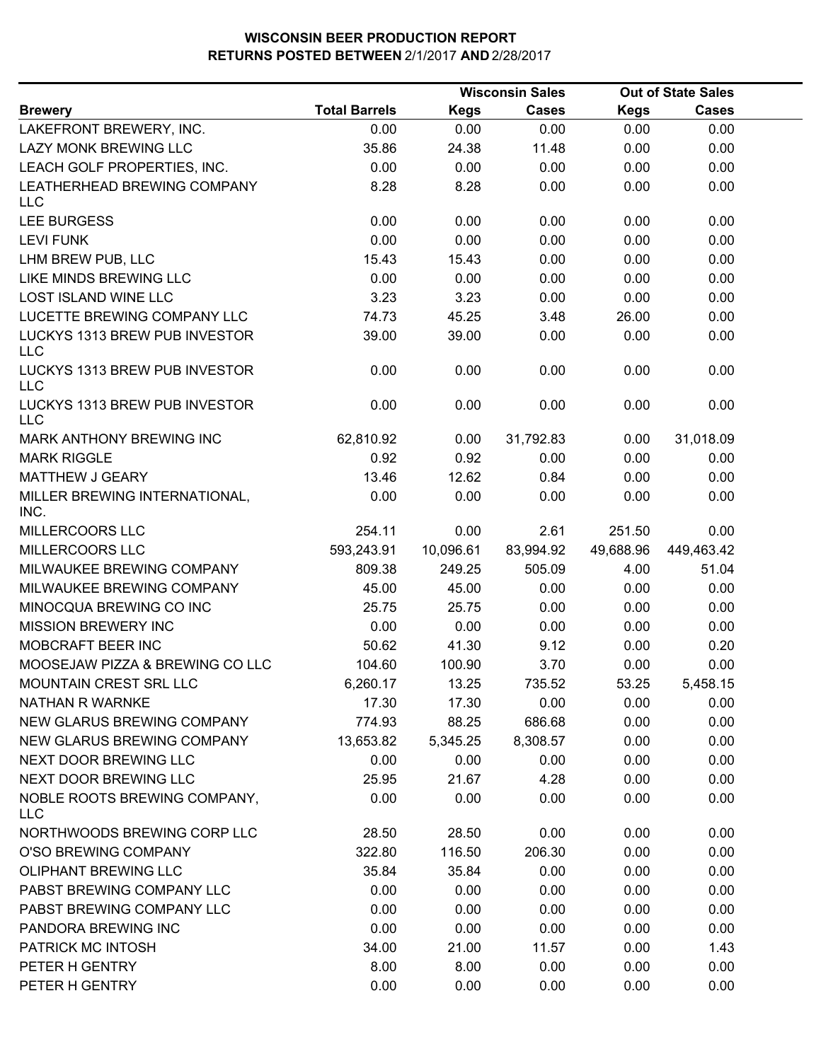|                                             |                      |             | <b>Wisconsin Sales</b> |             | <b>Out of State Sales</b> |  |
|---------------------------------------------|----------------------|-------------|------------------------|-------------|---------------------------|--|
| <b>Brewery</b>                              | <b>Total Barrels</b> | <b>Kegs</b> | <b>Cases</b>           | <b>Kegs</b> | <b>Cases</b>              |  |
| LAKEFRONT BREWERY, INC.                     | 0.00                 | 0.00        | 0.00                   | 0.00        | 0.00                      |  |
| <b>LAZY MONK BREWING LLC</b>                | 35.86                | 24.38       | 11.48                  | 0.00        | 0.00                      |  |
| LEACH GOLF PROPERTIES, INC.                 | 0.00                 | 0.00        | 0.00                   | 0.00        | 0.00                      |  |
| LEATHERHEAD BREWING COMPANY<br><b>LLC</b>   | 8.28                 | 8.28        | 0.00                   | 0.00        | 0.00                      |  |
| <b>LEE BURGESS</b>                          | 0.00                 | 0.00        | 0.00                   | 0.00        | 0.00                      |  |
| <b>LEVI FUNK</b>                            | 0.00                 | 0.00        | 0.00                   | 0.00        | 0.00                      |  |
| LHM BREW PUB, LLC                           | 15.43                | 15.43       | 0.00                   | 0.00        | 0.00                      |  |
| LIKE MINDS BREWING LLC                      | 0.00                 | 0.00        | 0.00                   | 0.00        | 0.00                      |  |
| LOST ISLAND WINE LLC                        | 3.23                 | 3.23        | 0.00                   | 0.00        | 0.00                      |  |
| LUCETTE BREWING COMPANY LLC                 | 74.73                | 45.25       | 3.48                   | 26.00       | 0.00                      |  |
| LUCKYS 1313 BREW PUB INVESTOR<br>LLC        | 39.00                | 39.00       | 0.00                   | 0.00        | 0.00                      |  |
| LUCKYS 1313 BREW PUB INVESTOR<br><b>LLC</b> | 0.00                 | 0.00        | 0.00                   | 0.00        | 0.00                      |  |
| LUCKYS 1313 BREW PUB INVESTOR<br><b>LLC</b> | 0.00                 | 0.00        | 0.00                   | 0.00        | 0.00                      |  |
| MARK ANTHONY BREWING INC                    | 62,810.92            | 0.00        | 31,792.83              | 0.00        | 31,018.09                 |  |
| <b>MARK RIGGLE</b>                          | 0.92                 | 0.92        | 0.00                   | 0.00        | 0.00                      |  |
| <b>MATTHEW J GEARY</b>                      | 13.46                | 12.62       | 0.84                   | 0.00        | 0.00                      |  |
| MILLER BREWING INTERNATIONAL,<br>INC.       | 0.00                 | 0.00        | 0.00                   | 0.00        | 0.00                      |  |
| MILLERCOORS LLC                             | 254.11               | 0.00        | 2.61                   | 251.50      | 0.00                      |  |
| MILLERCOORS LLC                             | 593,243.91           | 10,096.61   | 83,994.92              | 49,688.96   | 449,463.42                |  |
| MILWAUKEE BREWING COMPANY                   | 809.38               | 249.25      | 505.09                 | 4.00        | 51.04                     |  |
| MILWAUKEE BREWING COMPANY                   | 45.00                | 45.00       | 0.00                   | 0.00        | 0.00                      |  |
| MINOCQUA BREWING CO INC                     | 25.75                | 25.75       | 0.00                   | 0.00        | 0.00                      |  |
| <b>MISSION BREWERY INC</b>                  | 0.00                 | 0.00        | 0.00                   | 0.00        | 0.00                      |  |
| MOBCRAFT BEER INC                           | 50.62                | 41.30       | 9.12                   | 0.00        | 0.20                      |  |
| MOOSEJAW PIZZA & BREWING CO LLC             | 104.60               | 100.90      | 3.70                   | 0.00        | 0.00                      |  |
| MOUNTAIN CREST SRL LLC                      | 6,260.17             | 13.25       | 735.52                 | 53.25       | 5,458.15                  |  |
| NATHAN R WARNKE                             | 17.30                | 17.30       | 0.00                   | 0.00        | 0.00                      |  |
| NEW GLARUS BREWING COMPANY                  | 774.93               | 88.25       | 686.68                 | 0.00        | 0.00                      |  |
| NEW GLARUS BREWING COMPANY                  | 13,653.82            | 5,345.25    | 8,308.57               | 0.00        | 0.00                      |  |
| NEXT DOOR BREWING LLC                       | 0.00                 | 0.00        | 0.00                   | 0.00        | 0.00                      |  |
| NEXT DOOR BREWING LLC                       | 25.95                | 21.67       | 4.28                   | 0.00        | 0.00                      |  |
| NOBLE ROOTS BREWING COMPANY,<br><b>LLC</b>  | 0.00                 | 0.00        | 0.00                   | 0.00        | 0.00                      |  |
| NORTHWOODS BREWING CORP LLC                 | 28.50                | 28.50       | 0.00                   | 0.00        | 0.00                      |  |
| O'SO BREWING COMPANY                        | 322.80               | 116.50      | 206.30                 | 0.00        | 0.00                      |  |
| <b>OLIPHANT BREWING LLC</b>                 | 35.84                | 35.84       | 0.00                   | 0.00        | 0.00                      |  |
| PABST BREWING COMPANY LLC                   | 0.00                 | 0.00        | 0.00                   | 0.00        | 0.00                      |  |
| PABST BREWING COMPANY LLC                   | 0.00                 | 0.00        | 0.00                   | 0.00        | 0.00                      |  |
| PANDORA BREWING INC                         | 0.00                 | 0.00        | 0.00                   | 0.00        | 0.00                      |  |
| PATRICK MC INTOSH                           | 34.00                | 21.00       | 11.57                  | 0.00        | 1.43                      |  |
| PETER H GENTRY                              | 8.00                 | 8.00        | 0.00                   | 0.00        | 0.00                      |  |
| PETER H GENTRY                              | 0.00                 | 0.00        | 0.00                   | 0.00        | 0.00                      |  |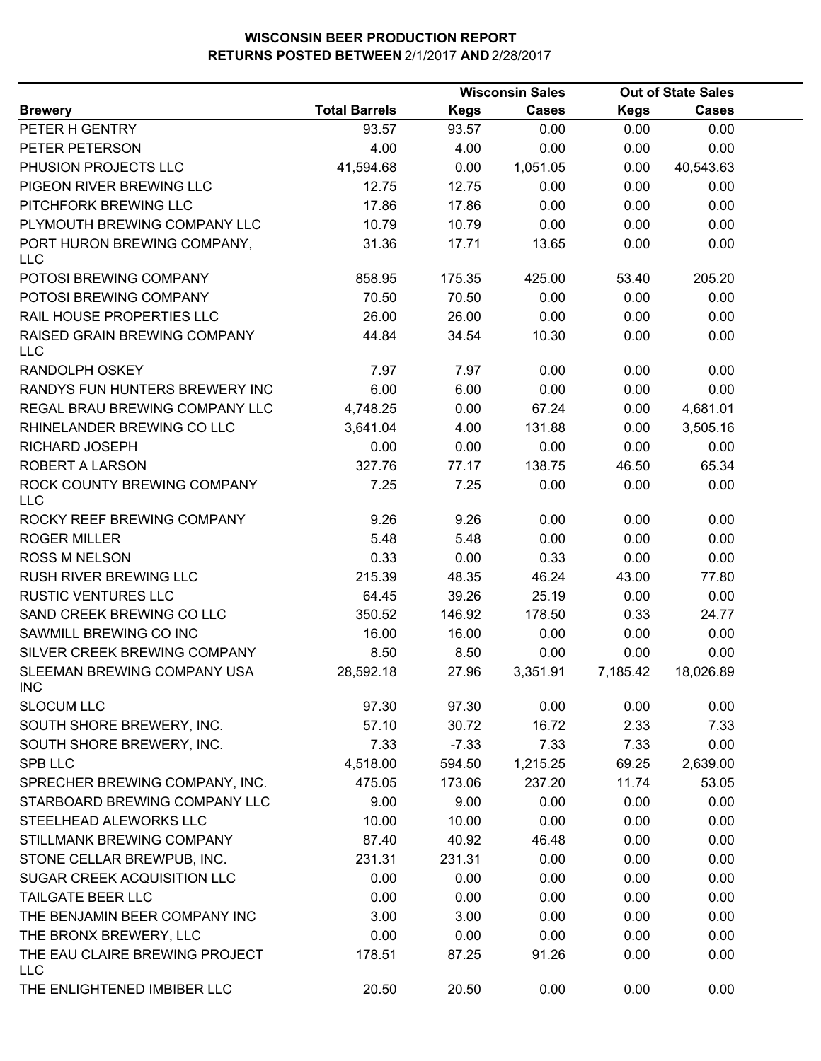|                                              |                      |             | <b>Wisconsin Sales</b> |             | <b>Out of State Sales</b> |  |
|----------------------------------------------|----------------------|-------------|------------------------|-------------|---------------------------|--|
| <b>Brewery</b>                               | <b>Total Barrels</b> | <b>Kegs</b> | <b>Cases</b>           | <b>Kegs</b> | <b>Cases</b>              |  |
| PETER H GENTRY                               | 93.57                | 93.57       | 0.00                   | 0.00        | 0.00                      |  |
| PETER PETERSON                               | 4.00                 | 4.00        | 0.00                   | 0.00        | 0.00                      |  |
| PHUSION PROJECTS LLC                         | 41,594.68            | 0.00        | 1,051.05               | 0.00        | 40,543.63                 |  |
| PIGEON RIVER BREWING LLC                     | 12.75                | 12.75       | 0.00                   | 0.00        | 0.00                      |  |
| PITCHFORK BREWING LLC                        | 17.86                | 17.86       | 0.00                   | 0.00        | 0.00                      |  |
| PLYMOUTH BREWING COMPANY LLC                 | 10.79                | 10.79       | 0.00                   | 0.00        | 0.00                      |  |
| PORT HURON BREWING COMPANY,<br><b>LLC</b>    | 31.36                | 17.71       | 13.65                  | 0.00        | 0.00                      |  |
| POTOSI BREWING COMPANY                       | 858.95               | 175.35      | 425.00                 | 53.40       | 205.20                    |  |
| POTOSI BREWING COMPANY                       | 70.50                | 70.50       | 0.00                   | 0.00        | 0.00                      |  |
| RAIL HOUSE PROPERTIES LLC                    | 26.00                | 26.00       | 0.00                   | 0.00        | 0.00                      |  |
| RAISED GRAIN BREWING COMPANY<br><b>LLC</b>   | 44.84                | 34.54       | 10.30                  | 0.00        | 0.00                      |  |
| RANDOLPH OSKEY                               | 7.97                 | 7.97        | 0.00                   | 0.00        | 0.00                      |  |
| RANDYS FUN HUNTERS BREWERY INC               | 6.00                 | 6.00        | 0.00                   | 0.00        | 0.00                      |  |
| REGAL BRAU BREWING COMPANY LLC               | 4,748.25             | 0.00        | 67.24                  | 0.00        | 4,681.01                  |  |
| RHINELANDER BREWING CO LLC                   | 3,641.04             | 4.00        | 131.88                 | 0.00        | 3,505.16                  |  |
| RICHARD JOSEPH                               | 0.00                 | 0.00        | 0.00                   | 0.00        | 0.00                      |  |
| ROBERT A LARSON                              | 327.76               | 77.17       | 138.75                 | 46.50       | 65.34                     |  |
| ROCK COUNTY BREWING COMPANY<br><b>LLC</b>    | 7.25                 | 7.25        | 0.00                   | 0.00        | 0.00                      |  |
| ROCKY REEF BREWING COMPANY                   | 9.26                 | 9.26        | 0.00                   | 0.00        | 0.00                      |  |
| <b>ROGER MILLER</b>                          | 5.48                 | 5.48        | 0.00                   | 0.00        | 0.00                      |  |
| <b>ROSS M NELSON</b>                         | 0.33                 | 0.00        | 0.33                   | 0.00        | 0.00                      |  |
| RUSH RIVER BREWING LLC                       | 215.39               | 48.35       | 46.24                  | 43.00       | 77.80                     |  |
| <b>RUSTIC VENTURES LLC</b>                   | 64.45                | 39.26       | 25.19                  | 0.00        | 0.00                      |  |
| SAND CREEK BREWING CO LLC                    | 350.52               | 146.92      | 178.50                 | 0.33        | 24.77                     |  |
| SAWMILL BREWING CO INC                       | 16.00                | 16.00       | 0.00                   | 0.00        | 0.00                      |  |
| SILVER CREEK BREWING COMPANY                 | 8.50                 | 8.50        | 0.00                   | 0.00        | 0.00                      |  |
| SLEEMAN BREWING COMPANY USA<br><b>INC</b>    | 28,592.18            | 27.96       | 3,351.91               | 7,185.42    | 18,026.89                 |  |
| <b>SLOCUM LLC</b>                            | 97.30                | 97.30       | 0.00                   | 0.00        | 0.00                      |  |
| SOUTH SHORE BREWERY, INC.                    | 57.10                | 30.72       | 16.72                  | 2.33        | 7.33                      |  |
| SOUTH SHORE BREWERY, INC.                    | 7.33                 | $-7.33$     | 7.33                   | 7.33        | 0.00                      |  |
| SPB LLC                                      | 4,518.00             | 594.50      | 1,215.25               | 69.25       | 2,639.00                  |  |
| SPRECHER BREWING COMPANY, INC.               | 475.05               | 173.06      | 237.20                 | 11.74       | 53.05                     |  |
| STARBOARD BREWING COMPANY LLC                | 9.00                 | 9.00        | 0.00                   | 0.00        | 0.00                      |  |
| STEELHEAD ALEWORKS LLC                       | 10.00                | 10.00       | 0.00                   | 0.00        | 0.00                      |  |
| STILLMANK BREWING COMPANY                    | 87.40                | 40.92       | 46.48                  | 0.00        | 0.00                      |  |
| STONE CELLAR BREWPUB, INC.                   | 231.31               | 231.31      | 0.00                   | 0.00        | 0.00                      |  |
| SUGAR CREEK ACQUISITION LLC                  | 0.00                 | 0.00        | 0.00                   | 0.00        | 0.00                      |  |
| <b>TAILGATE BEER LLC</b>                     | 0.00                 | 0.00        | 0.00                   | 0.00        | 0.00                      |  |
| THE BENJAMIN BEER COMPANY INC                | 3.00                 | 3.00        | 0.00                   | 0.00        | 0.00                      |  |
| THE BRONX BREWERY, LLC                       | 0.00                 | 0.00        | 0.00                   | 0.00        | 0.00                      |  |
| THE EAU CLAIRE BREWING PROJECT<br><b>LLC</b> | 178.51               | 87.25       | 91.26                  | 0.00        | 0.00                      |  |
| THE ENLIGHTENED IMBIBER LLC                  | 20.50                | 20.50       | 0.00                   | 0.00        | 0.00                      |  |